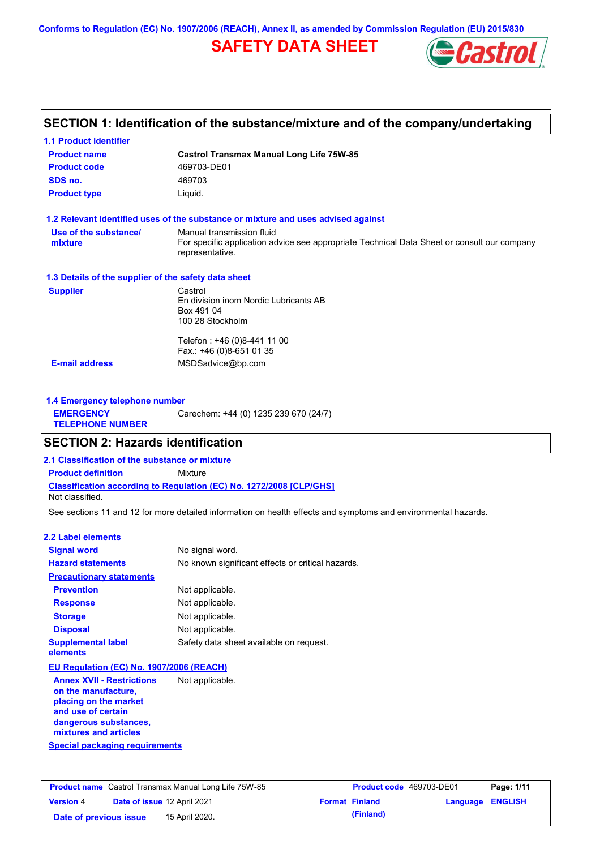**Conforms to Regulation (EC) No. 1907/2006 (REACH), Annex II, as amended by Commission Regulation (EU) 2015/830**

# **SAFETY DATA SHEET**



# **SECTION 1: Identification of the substance/mixture and of the company/undertaking**

| <b>1.1 Product identifier</b>                        |                                                                                                                                             |
|------------------------------------------------------|---------------------------------------------------------------------------------------------------------------------------------------------|
| <b>Product name</b>                                  | <b>Castrol Transmax Manual Long Life 75W-85</b>                                                                                             |
| <b>Product code</b>                                  | 469703-DE01                                                                                                                                 |
| SDS no.                                              | 469703                                                                                                                                      |
| <b>Product type</b>                                  | Liquid.                                                                                                                                     |
|                                                      | 1.2 Relevant identified uses of the substance or mixture and uses advised against                                                           |
| Use of the substance/<br>mixture                     | Manual transmission fluid<br>For specific application advice see appropriate Technical Data Sheet or consult our company<br>representative. |
| 1.3 Details of the supplier of the safety data sheet |                                                                                                                                             |
| <b>Supplier</b>                                      | Castrol<br>En division inom Nordic Lubricants AB<br>Box 491 04<br>100 28 Stockholm                                                          |
|                                                      | Telefon: +46 (0)8-441 11 00<br>Fax.: +46 (0)8-651 01 35                                                                                     |
| <b>E-mail address</b>                                | MSDSadvice@bp.com                                                                                                                           |
| 1.4 Emergency telephone number                       |                                                                                                                                             |
| <b>EMERGENCY</b><br><b>TELEPHONE NUMBER</b>          | Carechem: +44 (0) 1235 239 670 (24/7)                                                                                                       |
| <b>SECTION 2: Hazards identification</b>             |                                                                                                                                             |
| 2.1 Classification of the substance or mixture       |                                                                                                                                             |
| <b>Product definition</b>                            | <b>Mixture</b>                                                                                                                              |
|                                                      |                                                                                                                                             |

**Classification according to Regulation (EC) No. 1272/2008 [CLP/GHS]**

Not classified.

See sections 11 and 12 for more detailed information on health effects and symptoms and environmental hazards.

### **2.2 Label elements**

| <b>Signal word</b>                                                               | No signal word.                                   |
|----------------------------------------------------------------------------------|---------------------------------------------------|
| <b>Hazard statements</b>                                                         | No known significant effects or critical hazards. |
| <b>Precautionary statements</b>                                                  |                                                   |
| <b>Prevention</b>                                                                | Not applicable.                                   |
| <b>Response</b>                                                                  | Not applicable.                                   |
| <b>Storage</b>                                                                   | Not applicable.                                   |
| <b>Disposal</b>                                                                  | Not applicable.                                   |
| <b>Supplemental label</b><br>elements                                            | Safety data sheet available on request.           |
| EU Regulation (EC) No. 1907/2006 (REACH)                                         |                                                   |
| <b>Annex XVII - Restrictions</b><br>on the manufacture,<br>placing on the market | Not applicable.                                   |

**Special packaging requirements and use of certain dangerous substances, mixtures and articles**

| <b>Product name</b> Castrol Transmax Manual Long Life 75W-85 |  |                             | <b>Product code</b> 469703-DE01 |                       | Page: 1/11              |  |
|--------------------------------------------------------------|--|-----------------------------|---------------------------------|-----------------------|-------------------------|--|
| <b>Version 4</b>                                             |  | Date of issue 12 April 2021 |                                 | <b>Format Finland</b> | <b>Language ENGLISH</b> |  |
| Date of previous issue                                       |  | 15 April 2020.              |                                 | (Finland)             |                         |  |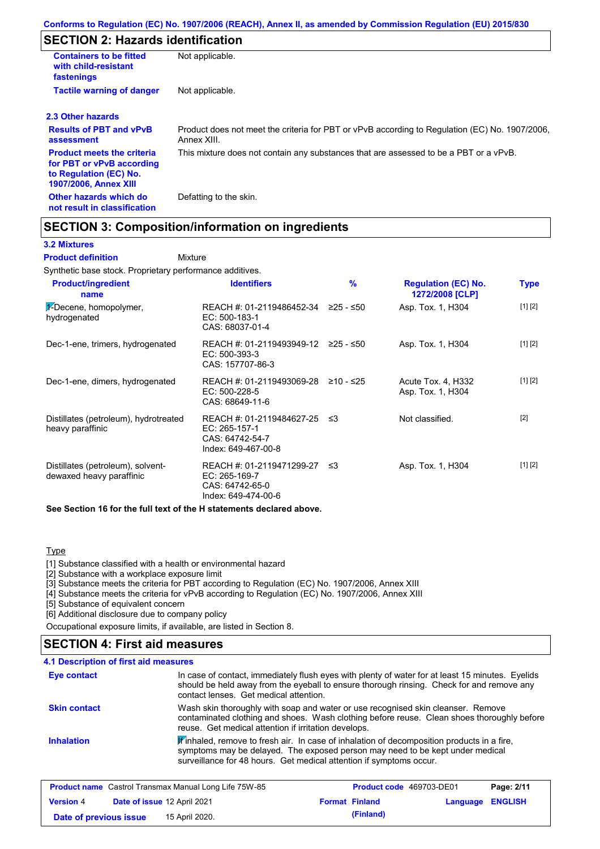# **SECTION 2: Hazards identification**

| <b>Containers to be fitted</b><br>with child-resistant<br>fastenings                                                     | Not applicable.                                                                                               |  |
|--------------------------------------------------------------------------------------------------------------------------|---------------------------------------------------------------------------------------------------------------|--|
| <b>Tactile warning of danger</b><br>Not applicable.                                                                      |                                                                                                               |  |
| 2.3 Other hazards                                                                                                        |                                                                                                               |  |
| <b>Results of PBT and vPvB</b><br>assessment                                                                             | Product does not meet the criteria for PBT or vPvB according to Regulation (EC) No. 1907/2006,<br>Annex XIII. |  |
| <b>Product meets the criteria</b><br>for PBT or vPvB according<br>to Regulation (EC) No.<br><b>1907/2006, Annex XIII</b> | This mixture does not contain any substances that are assessed to be a PBT or a vPvB.                         |  |
| Other hazards which do<br>not result in classification                                                                   | Defatting to the skin.                                                                                        |  |

## **SECTION 3: Composition/information on ingredients**

### **3.2 Mixtures**

Mixture **Product definition**

Synthetic base stock. Proprietary performance additives.

| <b>Product/ingredient</b><br>name                             | <b>Identifiers</b>                                                                      | %         | <b>Regulation (EC) No.</b><br>1272/2008 [CLP] | Type    |
|---------------------------------------------------------------|-----------------------------------------------------------------------------------------|-----------|-----------------------------------------------|---------|
| $\frac{1}{2}$ -Decene, homopolymer,<br>hydrogenated           | REACH #: 01-2119486452-34<br>EC: 500-183-1<br>CAS: 68037-01-4                           | ≥25 - ≤50 | Asp. Tox. 1, H304                             | [1] [2] |
| Dec-1-ene, trimers, hydrogenated                              | REACH #: 01-2119493949-12 ≥25 - ≤50<br>$EC: 500-393-3$<br>CAS: 157707-86-3              |           | Asp. Tox. 1, H304                             | [1] [2] |
| Dec-1-ene, dimers, hydrogenated                               | REACH #: 01-2119493069-28<br>EC: 500-228-5<br>CAS: 68649-11-6                           | ≥10 - ≤25 | Acute Tox. 4, H332<br>Asp. Tox. 1, H304       | [1] [2] |
| Distillates (petroleum), hydrotreated<br>heavy paraffinic     | REACH #: 01-2119484627-25 ≤3<br>EC: 265-157-1<br>CAS: 64742-54-7<br>Index: 649-467-00-8 |           | Not classified.                               | $[2]$   |
| Distillates (petroleum), solvent-<br>dewaxed heavy paraffinic | REACH #: 01-2119471299-27<br>EC: 265-169-7<br>CAS: 64742-65-0<br>Index: 649-474-00-6    | ב≥        | Asp. Tox. 1, H304                             | [1] [2] |

**See Section 16 for the full text of the H statements declared above.**

### **Type**

[1] Substance classified with a health or environmental hazard

[2] Substance with a workplace exposure limit

[3] Substance meets the criteria for PBT according to Regulation (EC) No. 1907/2006, Annex XIII

[4] Substance meets the criteria for vPvB according to Regulation (EC) No. 1907/2006, Annex XIII

[5] Substance of equivalent concern

[6] Additional disclosure due to company policy

Occupational exposure limits, if available, are listed in Section 8.

## **SECTION 4: First aid measures**

#### **4.1 Description of first aid measures**

| Eye contact         | In case of contact, immediately flush eyes with plenty of water for at least 15 minutes. Eyelids<br>should be held away from the eyeball to ensure thorough rinsing. Check for and remove any<br>contact lenses. Get medical attention.           |
|---------------------|---------------------------------------------------------------------------------------------------------------------------------------------------------------------------------------------------------------------------------------------------|
| <b>Skin contact</b> | Wash skin thoroughly with soap and water or use recognised skin cleanser. Remove<br>contaminated clothing and shoes. Wash clothing before reuse. Clean shoes thoroughly before<br>reuse. Get medical attention if irritation develops.            |
| <b>Inhalation</b>   | Winhaled, remove to fresh air. In case of inhalation of decomposition products in a fire,<br>symptoms may be delayed. The exposed person may need to be kept under medical<br>surveillance for 48 hours. Get medical attention if symptoms occur. |

| <b>Product name</b> Castrol Transmax Manual Long Life 75W-85 |  |                                    | Product code 469703-DE01 |                       | Page: 2/11       |  |
|--------------------------------------------------------------|--|------------------------------------|--------------------------|-----------------------|------------------|--|
| <b>Version 4</b>                                             |  | <b>Date of issue 12 April 2021</b> |                          | <b>Format Finland</b> | Language ENGLISH |  |
| Date of previous issue                                       |  | 15 April 2020.                     |                          | (Finland)             |                  |  |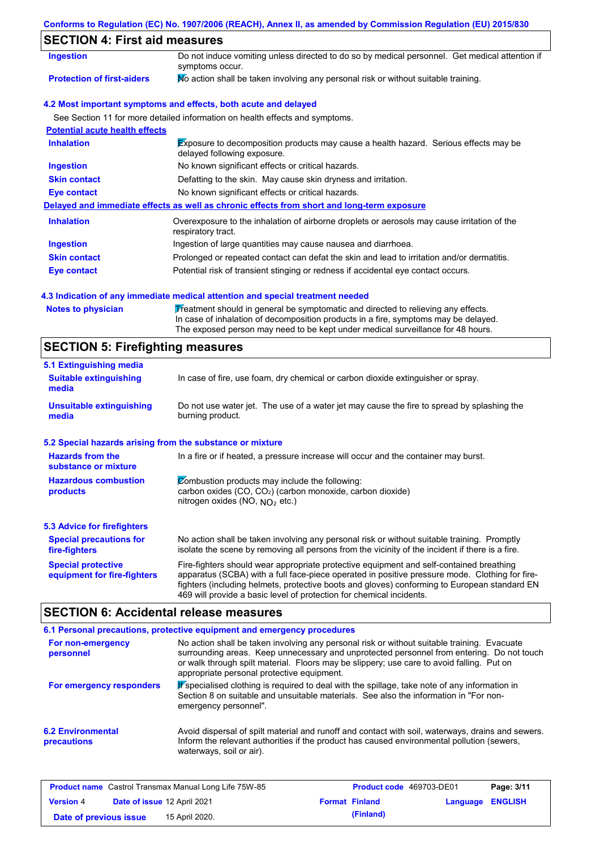## **Conforms to Regulation (EC) No. 1907/2006 (REACH), Annex II, as amended by Commission Regulation (EU) 2015/830**

# **SECTION 4: First aid measures**

| Ingestion                             | Do not induce vomiting unless directed to do so by medical personnel. Get medical attention if<br>symptoms occur.   |
|---------------------------------------|---------------------------------------------------------------------------------------------------------------------|
| <b>Protection of first-aiders</b>     | No action shall be taken involving any personal risk or without suitable training.                                  |
|                                       | 4.2 Most important symptoms and effects, both acute and delayed                                                     |
|                                       | See Section 11 for more detailed information on health effects and symptoms.                                        |
| <b>Potential acute health effects</b> |                                                                                                                     |
| <b>Inhalation</b>                     | Exposure to decomposition products may cause a health hazard. Serious effects may be<br>delayed following exposure. |
| <b>Ingestion</b>                      | No known significant effects or critical hazards.                                                                   |
| <b>Skin contact</b>                   | Defatting to the skin. May cause skin dryness and irritation.                                                       |
| Eye contact                           | No known significant effects or critical hazards.                                                                   |
|                                       | Delayed and immediate effects as well as chronic effects from short and long-term exposure                          |
| <b>Inhalation</b>                     | Overexposure to the inhalation of airborne droplets or aerosols may cause irritation of the<br>respiratory tract.   |
| <b>Ingestion</b>                      | Ingestion of large quantities may cause nausea and diarrhoea.                                                       |
| <b>Skin contact</b>                   | Prolonged or repeated contact can defat the skin and lead to irritation and/or dermatitis.                          |
| Eye contact                           | Potential risk of transient stinging or redness if accidental eye contact occurs.                                   |

### **4.3 Indication of any immediate medical attention and special treatment needed**

Notes to physician **Treatment should in general be symptomatic and directed to relieving any effects.** In case of inhalation of decomposition products in a fire, symptoms may be delayed. The exposed person may need to be kept under medical surveillance for 48 hours.

## **SECTION 5: Firefighting measures**

| 5.1 Extinguishing media                                                                                                                                                                                                                                                                                                                                                                                                       |                                                                                                                |  |
|-------------------------------------------------------------------------------------------------------------------------------------------------------------------------------------------------------------------------------------------------------------------------------------------------------------------------------------------------------------------------------------------------------------------------------|----------------------------------------------------------------------------------------------------------------|--|
| In case of fire, use foam, dry chemical or carbon dioxide extinguisher or spray.<br><b>Suitable extinguishing</b><br>media                                                                                                                                                                                                                                                                                                    |                                                                                                                |  |
| <b>Unsuitable extinguishing</b><br>media                                                                                                                                                                                                                                                                                                                                                                                      | Do not use water jet. The use of a water jet may cause the fire to spread by splashing the<br>burning product. |  |
| 5.2 Special hazards arising from the substance or mixture                                                                                                                                                                                                                                                                                                                                                                     |                                                                                                                |  |
| <b>Hazards from the</b><br>In a fire or if heated, a pressure increase will occur and the container may burst.<br>substance or mixture                                                                                                                                                                                                                                                                                        |                                                                                                                |  |
| Combustion products may include the following:<br><b>Hazardous combustion</b><br>carbon oxides $(CO, CO2)$ (carbon monoxide, carbon dioxide)<br>products<br>nitrogen oxides (NO, $NO2$ etc.)                                                                                                                                                                                                                                  |                                                                                                                |  |
| 5.3 Advice for firefighters                                                                                                                                                                                                                                                                                                                                                                                                   |                                                                                                                |  |
| No action shall be taken involving any personal risk or without suitable training. Promptly<br><b>Special precautions for</b><br>isolate the scene by removing all persons from the vicinity of the incident if there is a fire.<br>fire-fighters                                                                                                                                                                             |                                                                                                                |  |
| Fire-fighters should wear appropriate protective equipment and self-contained breathing<br><b>Special protective</b><br>apparatus (SCBA) with a full face-piece operated in positive pressure mode. Clothing for fire-<br>equipment for fire-fighters<br>fighters (including helmets, protective boots and gloves) conforming to European standard EN<br>469 will provide a basic level of protection for chemical incidents. |                                                                                                                |  |

# **SECTION 6: Accidental release measures**

|                                         | 6.1 Personal precautions, protective equipment and emergency procedures                                                                                                                                                                                                                                                             |
|-----------------------------------------|-------------------------------------------------------------------------------------------------------------------------------------------------------------------------------------------------------------------------------------------------------------------------------------------------------------------------------------|
| For non-emergency<br>personnel          | No action shall be taken involving any personal risk or without suitable training. Evacuate<br>surrounding areas. Keep unnecessary and unprotected personnel from entering. Do not touch<br>or walk through spilt material. Floors may be slippery; use care to avoid falling. Put on<br>appropriate personal protective equipment. |
| For emergency responders                | Pspecialised clothing is required to deal with the spillage, take note of any information in<br>Section 8 on suitable and unsuitable materials. See also the information in "For non-<br>emergency personnel".                                                                                                                      |
| <b>6.2 Environmental</b><br>precautions | Avoid dispersal of spilt material and runoff and contact with soil, waterways, drains and sewers.<br>Inform the relevant authorities if the product has caused environmental pollution (sewers,<br>waterways, soil or air).                                                                                                         |

| <b>Product name</b> Castrol Transmax Manual Long Life 75W-85 |                             |                | <b>Product code</b> 469703-DE01 |                       | Page: 3/11              |  |
|--------------------------------------------------------------|-----------------------------|----------------|---------------------------------|-----------------------|-------------------------|--|
| <b>Version 4</b>                                             | Date of issue 12 April 2021 |                |                                 | <b>Format Finland</b> | <b>Language ENGLISH</b> |  |
| Date of previous issue                                       |                             | 15 April 2020. |                                 | (Finland)             |                         |  |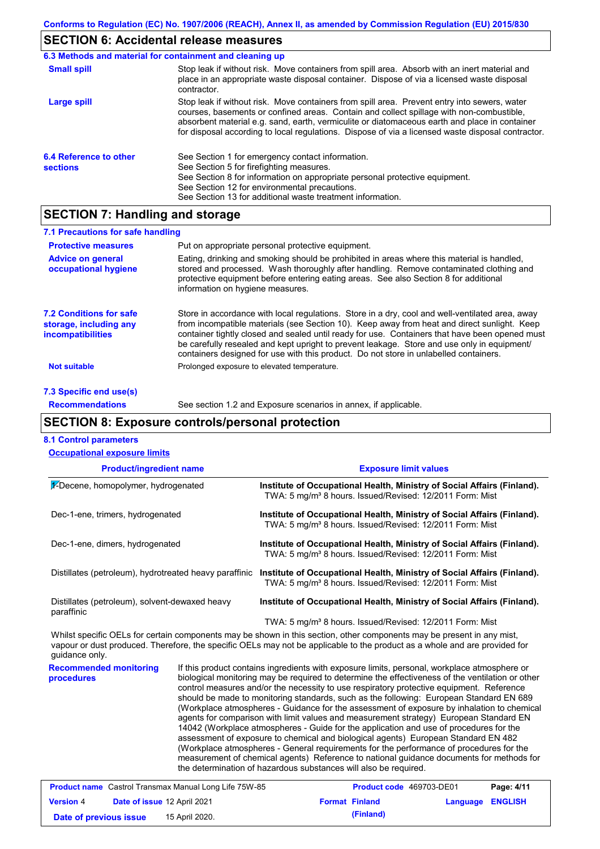# **SECTION 6: Accidental release measures**

|                                           | 6.3 Methods and material for containment and cleaning up                                                                                                                                                                                                                                                                                                                                       |  |  |  |  |
|-------------------------------------------|------------------------------------------------------------------------------------------------------------------------------------------------------------------------------------------------------------------------------------------------------------------------------------------------------------------------------------------------------------------------------------------------|--|--|--|--|
| <b>Small spill</b>                        | Stop leak if without risk. Move containers from spill area. Absorb with an inert material and<br>place in an appropriate waste disposal container. Dispose of via a licensed waste disposal<br>contractor.                                                                                                                                                                                     |  |  |  |  |
| Large spill                               | Stop leak if without risk. Move containers from spill area. Prevent entry into sewers, water<br>courses, basements or confined areas. Contain and collect spillage with non-combustible,<br>absorbent material e.g. sand, earth, vermiculite or diatomaceous earth and place in container<br>for disposal according to local regulations. Dispose of via a licensed waste disposal contractor. |  |  |  |  |
| 6.4 Reference to other<br><b>sections</b> | See Section 1 for emergency contact information.<br>See Section 5 for firefighting measures.<br>See Section 8 for information on appropriate personal protective equipment.<br>See Section 12 for environmental precautions.<br>See Section 13 for additional waste treatment information.                                                                                                     |  |  |  |  |

## **SECTION 7: Handling and storage**

| 7.1 Precautions for safe handling                                             |                                                                                                                                                                                                                                                                                                                                                                                                                                                                                          |
|-------------------------------------------------------------------------------|------------------------------------------------------------------------------------------------------------------------------------------------------------------------------------------------------------------------------------------------------------------------------------------------------------------------------------------------------------------------------------------------------------------------------------------------------------------------------------------|
| <b>Protective measures</b>                                                    | Put on appropriate personal protective equipment.                                                                                                                                                                                                                                                                                                                                                                                                                                        |
| <b>Advice on general</b><br>occupational hygiene                              | Eating, drinking and smoking should be prohibited in areas where this material is handled.<br>stored and processed. Wash thoroughly after handling. Remove contaminated clothing and<br>protective equipment before entering eating areas. See also Section 8 for additional<br>information on hygiene measures.                                                                                                                                                                         |
| <b>7.2 Conditions for safe</b><br>storage, including any<br>incompatibilities | Store in accordance with local regulations. Store in a dry, cool and well-ventilated area, away<br>from incompatible materials (see Section 10). Keep away from heat and direct sunlight. Keep<br>container tightly closed and sealed until ready for use. Containers that have been opened must<br>be carefully resealed and kept upright to prevent leakage. Store and use only in equipment/<br>containers designed for use with this product. Do not store in unlabelled containers. |
| <b>Not suitable</b>                                                           | Prolonged exposure to elevated temperature.                                                                                                                                                                                                                                                                                                                                                                                                                                              |
| 7.3 Specific end use(s)                                                       |                                                                                                                                                                                                                                                                                                                                                                                                                                                                                          |

## **Recommendations**

See section 1.2 and Exposure scenarios in annex, if applicable.

# **SECTION 8: Exposure controls/personal protection**

| <b>Occupational exposure limits</b>                          |                             |                                                                                                                                                                                                                                                                                                                                                                                                                                                                                                                                                                                                                                                                                                                                                                                                                                                                                                                                                                                                                            |  |  |
|--------------------------------------------------------------|-----------------------------|----------------------------------------------------------------------------------------------------------------------------------------------------------------------------------------------------------------------------------------------------------------------------------------------------------------------------------------------------------------------------------------------------------------------------------------------------------------------------------------------------------------------------------------------------------------------------------------------------------------------------------------------------------------------------------------------------------------------------------------------------------------------------------------------------------------------------------------------------------------------------------------------------------------------------------------------------------------------------------------------------------------------------|--|--|
| <b>Product/ingredient name</b>                               |                             | <b>Exposure limit values</b>                                                                                                                                                                                                                                                                                                                                                                                                                                                                                                                                                                                                                                                                                                                                                                                                                                                                                                                                                                                               |  |  |
| 1-Decene, homopolymer, hydrogenated                          |                             | Institute of Occupational Health, Ministry of Social Affairs (Finland).<br>TWA: 5 mg/m <sup>3</sup> 8 hours. Issued/Revised: 12/2011 Form: Mist                                                                                                                                                                                                                                                                                                                                                                                                                                                                                                                                                                                                                                                                                                                                                                                                                                                                            |  |  |
| Dec-1-ene, trimers, hydrogenated                             |                             | Institute of Occupational Health, Ministry of Social Affairs (Finland).<br>TWA: 5 mg/m <sup>3</sup> 8 hours. Issued/Revised: 12/2011 Form: Mist                                                                                                                                                                                                                                                                                                                                                                                                                                                                                                                                                                                                                                                                                                                                                                                                                                                                            |  |  |
| Dec-1-ene, dimers, hydrogenated                              |                             | Institute of Occupational Health, Ministry of Social Affairs (Finland).<br>TWA: 5 mg/m <sup>3</sup> 8 hours. Issued/Revised: 12/2011 Form: Mist                                                                                                                                                                                                                                                                                                                                                                                                                                                                                                                                                                                                                                                                                                                                                                                                                                                                            |  |  |
| Distillates (petroleum), hydrotreated heavy paraffinic       |                             | Institute of Occupational Health, Ministry of Social Affairs (Finland).<br>TWA: 5 mg/m <sup>3</sup> 8 hours. Issued/Revised: 12/2011 Form: Mist                                                                                                                                                                                                                                                                                                                                                                                                                                                                                                                                                                                                                                                                                                                                                                                                                                                                            |  |  |
| Distillates (petroleum), solvent-dewaxed heavy<br>paraffinic |                             | Institute of Occupational Health, Ministry of Social Affairs (Finland).                                                                                                                                                                                                                                                                                                                                                                                                                                                                                                                                                                                                                                                                                                                                                                                                                                                                                                                                                    |  |  |
|                                                              |                             | TWA: 5 mg/m <sup>3</sup> 8 hours. Issued/Revised: 12/2011 Form: Mist                                                                                                                                                                                                                                                                                                                                                                                                                                                                                                                                                                                                                                                                                                                                                                                                                                                                                                                                                       |  |  |
| guidance only.                                               |                             | Whilst specific OELs for certain components may be shown in this section, other components may be present in any mist,<br>vapour or dust produced. Therefore, the specific OELs may not be applicable to the product as a whole and are provided for                                                                                                                                                                                                                                                                                                                                                                                                                                                                                                                                                                                                                                                                                                                                                                       |  |  |
| <b>Recommended monitoring</b><br>procedures                  |                             | If this product contains ingredients with exposure limits, personal, workplace atmosphere or<br>biological monitoring may be required to determine the effectiveness of the ventilation or other<br>control measures and/or the necessity to use respiratory protective equipment. Reference<br>should be made to monitoring standards, such as the following: European Standard EN 689<br>(Workplace atmospheres - Guidance for the assessment of exposure by inhalation to chemical<br>agents for comparison with limit values and measurement strategy) European Standard EN<br>14042 (Workplace atmospheres - Guide for the application and use of procedures for the<br>assessment of exposure to chemical and biological agents) European Standard EN 482<br>(Workplace atmospheres - General requirements for the performance of procedures for the<br>measurement of chemical agents) Reference to national guidance documents for methods for<br>the determination of hazardous substances will also be required. |  |  |
| <b>Product name</b> Castrol Transmax Manual Long Life 75W-85 |                             | Page: 4/11<br>Product code 469703-DE01                                                                                                                                                                                                                                                                                                                                                                                                                                                                                                                                                                                                                                                                                                                                                                                                                                                                                                                                                                                     |  |  |
| <b>Version 4</b>                                             | Date of issue 12 April 2021 | <b>Format Finland</b><br><b>ENGLISH</b><br>Language                                                                                                                                                                                                                                                                                                                                                                                                                                                                                                                                                                                                                                                                                                                                                                                                                                                                                                                                                                        |  |  |
| Date of previous issue                                       | 15 April 2020.              | (Finland)                                                                                                                                                                                                                                                                                                                                                                                                                                                                                                                                                                                                                                                                                                                                                                                                                                                                                                                                                                                                                  |  |  |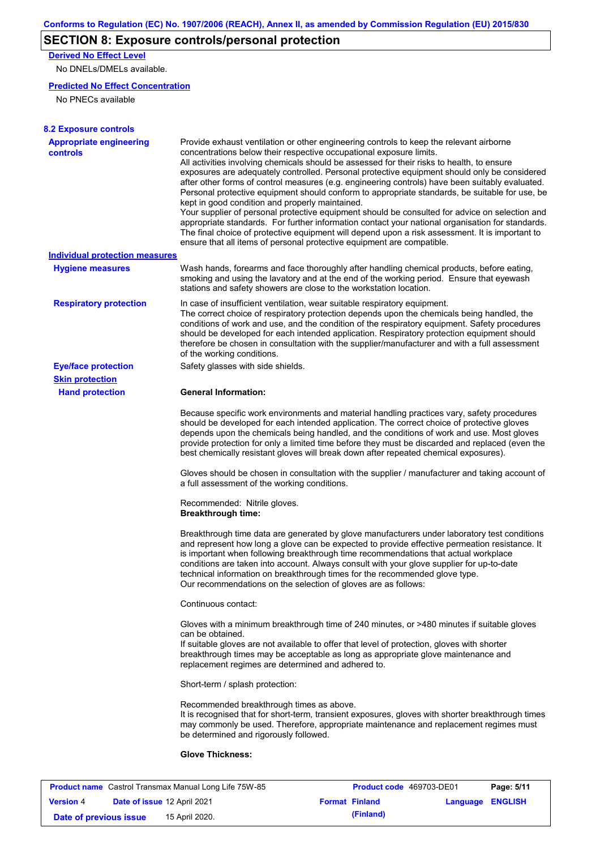# **SECTION 8: Exposure controls/personal protection**

**Derived No Effect Level**

No DNELs/DMELs available.

## **Predicted No Effect Concentration**

No PNECs available

| <b>8.2 Exposure controls</b>                         |                                                                                                                                                                                                                                                                                                                                                                                                                                                                                                                                                                                                                                                                                                                                                                                                                                                                                                                                                                                                         |
|------------------------------------------------------|---------------------------------------------------------------------------------------------------------------------------------------------------------------------------------------------------------------------------------------------------------------------------------------------------------------------------------------------------------------------------------------------------------------------------------------------------------------------------------------------------------------------------------------------------------------------------------------------------------------------------------------------------------------------------------------------------------------------------------------------------------------------------------------------------------------------------------------------------------------------------------------------------------------------------------------------------------------------------------------------------------|
| <b>Appropriate engineering</b><br><b>controls</b>    | Provide exhaust ventilation or other engineering controls to keep the relevant airborne<br>concentrations below their respective occupational exposure limits.<br>All activities involving chemicals should be assessed for their risks to health, to ensure<br>exposures are adequately controlled. Personal protective equipment should only be considered<br>after other forms of control measures (e.g. engineering controls) have been suitably evaluated.<br>Personal protective equipment should conform to appropriate standards, be suitable for use, be<br>kept in good condition and properly maintained.<br>Your supplier of personal protective equipment should be consulted for advice on selection and<br>appropriate standards. For further information contact your national organisation for standards.<br>The final choice of protective equipment will depend upon a risk assessment. It is important to<br>ensure that all items of personal protective equipment are compatible. |
| <b>Individual protection measures</b>                |                                                                                                                                                                                                                                                                                                                                                                                                                                                                                                                                                                                                                                                                                                                                                                                                                                                                                                                                                                                                         |
| <b>Hygiene measures</b>                              | Wash hands, forearms and face thoroughly after handling chemical products, before eating,<br>smoking and using the lavatory and at the end of the working period. Ensure that eyewash<br>stations and safety showers are close to the workstation location.                                                                                                                                                                                                                                                                                                                                                                                                                                                                                                                                                                                                                                                                                                                                             |
| <b>Respiratory protection</b>                        | In case of insufficient ventilation, wear suitable respiratory equipment.<br>The correct choice of respiratory protection depends upon the chemicals being handled, the<br>conditions of work and use, and the condition of the respiratory equipment. Safety procedures<br>should be developed for each intended application. Respiratory protection equipment should<br>therefore be chosen in consultation with the supplier/manufacturer and with a full assessment<br>of the working conditions.                                                                                                                                                                                                                                                                                                                                                                                                                                                                                                   |
| <b>Eye/face protection</b><br><b>Skin protection</b> | Safety glasses with side shields.                                                                                                                                                                                                                                                                                                                                                                                                                                                                                                                                                                                                                                                                                                                                                                                                                                                                                                                                                                       |
| <b>Hand protection</b>                               | <b>General Information:</b>                                                                                                                                                                                                                                                                                                                                                                                                                                                                                                                                                                                                                                                                                                                                                                                                                                                                                                                                                                             |
|                                                      | Because specific work environments and material handling practices vary, safety procedures<br>should be developed for each intended application. The correct choice of protective gloves<br>depends upon the chemicals being handled, and the conditions of work and use. Most gloves<br>provide protection for only a limited time before they must be discarded and replaced (even the<br>best chemically resistant gloves will break down after repeated chemical exposures).                                                                                                                                                                                                                                                                                                                                                                                                                                                                                                                        |
|                                                      | Gloves should be chosen in consultation with the supplier / manufacturer and taking account of<br>a full assessment of the working conditions.                                                                                                                                                                                                                                                                                                                                                                                                                                                                                                                                                                                                                                                                                                                                                                                                                                                          |
|                                                      | Recommended: Nitrile gloves.<br><b>Breakthrough time:</b>                                                                                                                                                                                                                                                                                                                                                                                                                                                                                                                                                                                                                                                                                                                                                                                                                                                                                                                                               |
|                                                      | Breakthrough time data are generated by glove manufacturers under laboratory test conditions<br>and represent how long a glove can be expected to provide effective permeation resistance. It<br>is important when following breakthrough time recommendations that actual workplace<br>conditions are taken into account. Always consult with your glove supplier for up-to-date<br>technical information on breakthrough times for the recommended glove type.<br>Our recommendations on the selection of gloves are as follows:                                                                                                                                                                                                                                                                                                                                                                                                                                                                      |
|                                                      | Continuous contact:                                                                                                                                                                                                                                                                                                                                                                                                                                                                                                                                                                                                                                                                                                                                                                                                                                                                                                                                                                                     |
|                                                      | Gloves with a minimum breakthrough time of 240 minutes, or >480 minutes if suitable gloves<br>can be obtained.<br>If suitable gloves are not available to offer that level of protection, gloves with shorter<br>breakthrough times may be acceptable as long as appropriate glove maintenance and<br>replacement regimes are determined and adhered to.                                                                                                                                                                                                                                                                                                                                                                                                                                                                                                                                                                                                                                                |
|                                                      | Short-term / splash protection:                                                                                                                                                                                                                                                                                                                                                                                                                                                                                                                                                                                                                                                                                                                                                                                                                                                                                                                                                                         |
|                                                      | Recommended breakthrough times as above.<br>It is recognised that for short-term, transient exposures, gloves with shorter breakthrough times<br>may commonly be used. Therefore, appropriate maintenance and replacement regimes must<br>be determined and rigorously followed.                                                                                                                                                                                                                                                                                                                                                                                                                                                                                                                                                                                                                                                                                                                        |
|                                                      | <b>Glove Thickness:</b>                                                                                                                                                                                                                                                                                                                                                                                                                                                                                                                                                                                                                                                                                                                                                                                                                                                                                                                                                                                 |

|                        |                             | <b>Product name</b> Castrol Transmax Manual Long Life 75W-85 | Product code 469703-DE01 |                         | Page: 5/11 |
|------------------------|-----------------------------|--------------------------------------------------------------|--------------------------|-------------------------|------------|
| <b>Version 4</b>       | Date of issue 12 April 2021 |                                                              | <b>Format Finland</b>    | <b>Language ENGLISH</b> |            |
| Date of previous issue |                             | 15 April 2020.                                               | (Finland)                |                         |            |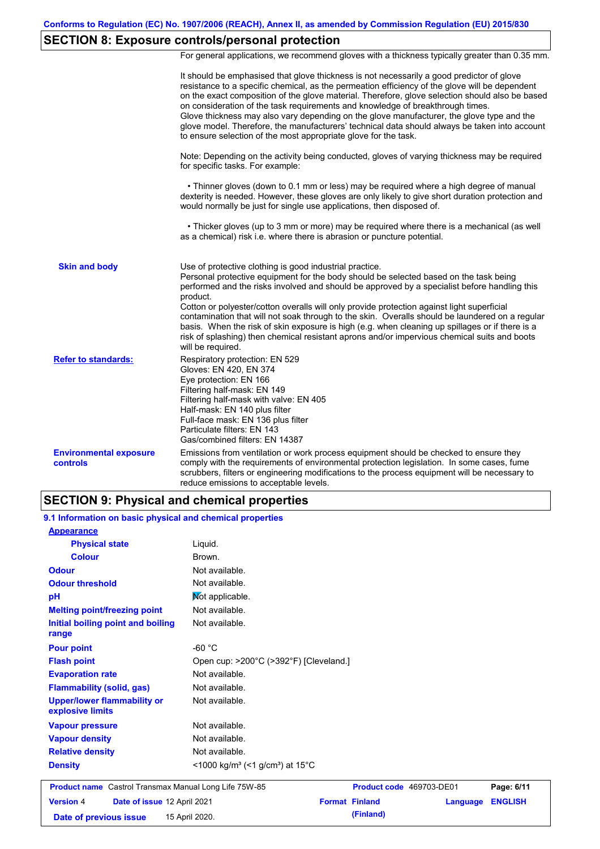# **SECTION 8: Exposure controls/personal protection**

For general applications, we recommend gloves with a thickness typically greater than 0.35 mm.

|                                                  | It should be emphasised that glove thickness is not necessarily a good predictor of glove<br>resistance to a specific chemical, as the permeation efficiency of the glove will be dependent<br>on the exact composition of the glove material. Therefore, glove selection should also be based<br>on consideration of the task requirements and knowledge of breakthrough times.<br>Glove thickness may also vary depending on the glove manufacturer, the glove type and the<br>glove model. Therefore, the manufacturers' technical data should always be taken into account<br>to ensure selection of the most appropriate glove for the task.                                     |
|--------------------------------------------------|---------------------------------------------------------------------------------------------------------------------------------------------------------------------------------------------------------------------------------------------------------------------------------------------------------------------------------------------------------------------------------------------------------------------------------------------------------------------------------------------------------------------------------------------------------------------------------------------------------------------------------------------------------------------------------------|
|                                                  | Note: Depending on the activity being conducted, gloves of varying thickness may be required<br>for specific tasks. For example:                                                                                                                                                                                                                                                                                                                                                                                                                                                                                                                                                      |
|                                                  | • Thinner gloves (down to 0.1 mm or less) may be required where a high degree of manual<br>dexterity is needed. However, these gloves are only likely to give short duration protection and<br>would normally be just for single use applications, then disposed of.                                                                                                                                                                                                                                                                                                                                                                                                                  |
|                                                  | • Thicker gloves (up to 3 mm or more) may be required where there is a mechanical (as well<br>as a chemical) risk i.e. where there is abrasion or puncture potential.                                                                                                                                                                                                                                                                                                                                                                                                                                                                                                                 |
| <b>Skin and body</b>                             | Use of protective clothing is good industrial practice.<br>Personal protective equipment for the body should be selected based on the task being<br>performed and the risks involved and should be approved by a specialist before handling this<br>product.<br>Cotton or polyester/cotton overalls will only provide protection against light superficial<br>contamination that will not soak through to the skin. Overalls should be laundered on a regular<br>basis. When the risk of skin exposure is high (e.g. when cleaning up spillages or if there is a<br>risk of splashing) then chemical resistant aprons and/or impervious chemical suits and boots<br>will be required. |
| <b>Refer to standards:</b>                       | Respiratory protection: EN 529<br>Gloves: EN 420, EN 374<br>Eye protection: EN 166<br>Filtering half-mask: EN 149<br>Filtering half-mask with valve: EN 405<br>Half-mask: EN 140 plus filter<br>Full-face mask: EN 136 plus filter<br>Particulate filters: EN 143<br>Gas/combined filters: EN 14387                                                                                                                                                                                                                                                                                                                                                                                   |
| <b>Environmental exposure</b><br><b>controls</b> | Emissions from ventilation or work process equipment should be checked to ensure they<br>comply with the requirements of environmental protection legislation. In some cases, fume<br>scrubbers, filters or engineering modifications to the process equipment will be necessary to<br>reduce emissions to acceptable levels.                                                                                                                                                                                                                                                                                                                                                         |

## **SECTION 9: Physical and chemical properties**

| 9.1 Information on basic physical and chemical properties |                                                                      |                          |          |                |
|-----------------------------------------------------------|----------------------------------------------------------------------|--------------------------|----------|----------------|
| <b>Appearance</b>                                         |                                                                      |                          |          |                |
| <b>Physical state</b>                                     | Liquid.                                                              |                          |          |                |
| <b>Colour</b>                                             | Brown.                                                               |                          |          |                |
| <b>Odour</b>                                              | Not available.                                                       |                          |          |                |
| <b>Odour threshold</b>                                    | Not available.                                                       |                          |          |                |
| pH                                                        | Not applicable.                                                      |                          |          |                |
| <b>Melting point/freezing point</b>                       | Not available.                                                       |                          |          |                |
| Initial boiling point and boiling<br>range                | Not available.                                                       |                          |          |                |
| <b>Pour point</b>                                         | $-60 °C$                                                             |                          |          |                |
| <b>Flash point</b>                                        | Open cup: >200°C (>392°F) [Cleveland.]                               |                          |          |                |
| <b>Evaporation rate</b>                                   | Not available.                                                       |                          |          |                |
| <b>Flammability (solid, gas)</b>                          | Not available.                                                       |                          |          |                |
| <b>Upper/lower flammability or</b><br>explosive limits    | Not available.                                                       |                          |          |                |
| <b>Vapour pressure</b>                                    | Not available.                                                       |                          |          |                |
| <b>Vapour density</b>                                     | Not available.                                                       |                          |          |                |
| <b>Relative density</b>                                   | Not available.                                                       |                          |          |                |
| <b>Density</b>                                            | <1000 kg/m <sup>3</sup> (<1 g/cm <sup>3</sup> ) at 15 <sup>°</sup> C |                          |          |                |
| Product name Castrol Transmax Manual Long Life 75W-85     |                                                                      | Product code 469703-DE01 |          | Page: 6/11     |
| <b>Version 4</b><br>Date of issue 12 April 2021           |                                                                      | <b>Format Finland</b>    | Language | <b>ENGLISH</b> |
| Date of previous issue                                    | 15 April 2020.                                                       | (Finland)                |          |                |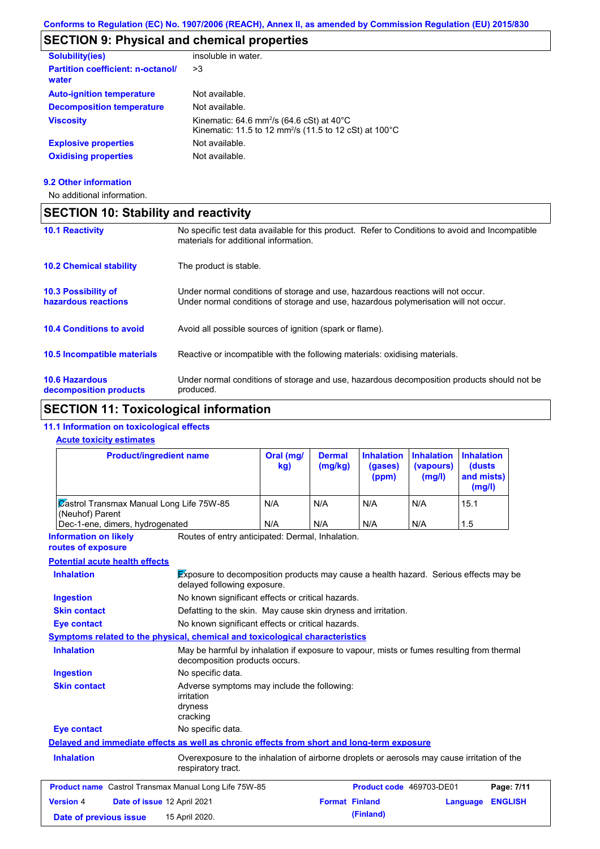# **SECTION 9: Physical and chemical properties**

| insoluble in water.                                                                                                                                |
|----------------------------------------------------------------------------------------------------------------------------------------------------|
| >3                                                                                                                                                 |
| Not available.                                                                                                                                     |
| Not available.                                                                                                                                     |
| Kinematic: 64.6 mm <sup>2</sup> /s (64.6 cSt) at $40^{\circ}$ C<br>Kinematic: 11.5 to 12 mm <sup>2</sup> /s (11.5 to 12 cSt) at 100 <sup>°</sup> C |
| Not available.                                                                                                                                     |
| Not available.                                                                                                                                     |
|                                                                                                                                                    |

### **9.2 Other information**

No additional information.

# **SECTION 10: Stability and reactivity**

| <b>10.1 Reactivity</b>                            | No specific test data available for this product. Refer to Conditions to avoid and Incompatible<br>materials for additional information.                                |
|---------------------------------------------------|-------------------------------------------------------------------------------------------------------------------------------------------------------------------------|
| <b>10.2 Chemical stability</b>                    | The product is stable.                                                                                                                                                  |
| <b>10.3 Possibility of</b><br>hazardous reactions | Under normal conditions of storage and use, hazardous reactions will not occur.<br>Under normal conditions of storage and use, hazardous polymerisation will not occur. |
| <b>10.4 Conditions to avoid</b>                   | Avoid all possible sources of ignition (spark or flame).                                                                                                                |
| 10.5 Incompatible materials                       | Reactive or incompatible with the following materials: oxidising materials.                                                                                             |
| <b>10.6 Hazardous</b><br>decomposition products   | Under normal conditions of storage and use, hazardous decomposition products should not be<br>produced.                                                                 |

# **SECTION 11: Toxicological information**

## **11.1 Information on toxicological effects**

### **Acute toxicity estimates**

| <b>Product/ingredient name</b>                                     | Oral (mg/<br>kg) | <b>Dermal</b><br>(mg/kg) | <b>Inhalation</b><br>(gases)<br>(ppm) | <b>Inhalation Inhalation</b><br>(vapours)<br>(mg/l) | (dusts)<br>and mists)<br>(mg/l) |
|--------------------------------------------------------------------|------------------|--------------------------|---------------------------------------|-----------------------------------------------------|---------------------------------|
| <b>Zastrol Transmax Manual Long Life 75W-85</b><br>(Neuhof) Parent | N/A              | N/A                      | N/A                                   | N/A                                                 | 15.1                            |
| Dec-1-ene, dimers, hydrogenated                                    | N/A              | N/A                      | N/A                                   | N/A                                                 | 1.5                             |

**Information on likely routes of exposure**

Routes of entry anticipated: Dermal, Inhalation.

### **Potential acute health effects**

| Potential acute nealth effects                               |                                                                                                                             |                          |          |                |
|--------------------------------------------------------------|-----------------------------------------------------------------------------------------------------------------------------|--------------------------|----------|----------------|
| <b>Inhalation</b>                                            | <b>Exposure to decomposition products may cause a health hazard.</b> Serious effects may be<br>delayed following exposure.  |                          |          |                |
| <b>Ingestion</b>                                             | No known significant effects or critical hazards.                                                                           |                          |          |                |
| <b>Skin contact</b>                                          | Defatting to the skin. May cause skin dryness and irritation.                                                               |                          |          |                |
| <b>Eye contact</b>                                           | No known significant effects or critical hazards.                                                                           |                          |          |                |
|                                                              | Symptoms related to the physical, chemical and toxicological characteristics                                                |                          |          |                |
| <b>Inhalation</b>                                            | May be harmful by inhalation if exposure to vapour, mists or fumes resulting from thermal<br>decomposition products occurs. |                          |          |                |
| <b>Ingestion</b>                                             | No specific data.                                                                                                           |                          |          |                |
| <b>Skin contact</b>                                          | Adverse symptoms may include the following:<br>irritation<br>dryness<br>cracking                                            |                          |          |                |
| <b>Eye contact</b>                                           | No specific data.                                                                                                           |                          |          |                |
|                                                              | Delayed and immediate effects as well as chronic effects from short and long-term exposure                                  |                          |          |                |
| <b>Inhalation</b>                                            | Overexposure to the inhalation of airborne droplets or aerosols may cause irritation of the<br>respiratory tract.           |                          |          |                |
| <b>Product name</b> Castrol Transmax Manual Long Life 75W-85 |                                                                                                                             | Product code 469703-DE01 |          | Page: 7/11     |
| <b>Version 4</b><br>Date of issue 12 April 2021              |                                                                                                                             | <b>Format Finland</b>    | Language | <b>ENGLISH</b> |
| Date of previous issue                                       | 15 April 2020.                                                                                                              | (Finland)                |          |                |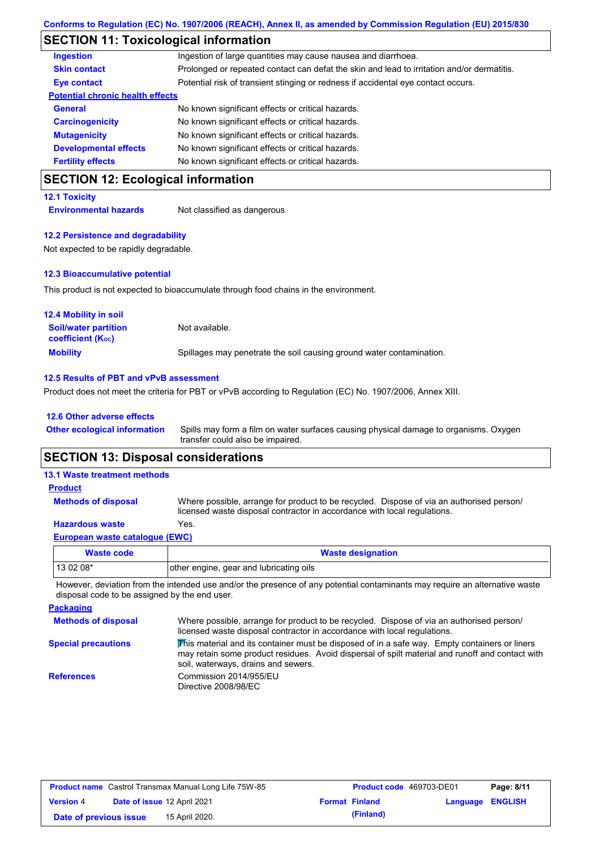## **SECTION 11: Toxicological information**

| CECTION 12: Ecological information      |                                                                                            |
|-----------------------------------------|--------------------------------------------------------------------------------------------|
| <b>Fertility effects</b>                | No known significant effects or critical hazards.                                          |
| <b>Developmental effects</b>            | No known significant effects or critical hazards.                                          |
| <b>Mutagenicity</b>                     | No known significant effects or critical hazards.                                          |
| <b>Carcinogenicity</b>                  | No known significant effects or critical hazards.                                          |
| <b>General</b>                          | No known significant effects or critical hazards.                                          |
| <b>Potential chronic health effects</b> |                                                                                            |
| <b>Eye contact</b>                      | Potential risk of transient stinging or redness if accidental eye contact occurs.          |
| <b>Skin contact</b>                     | Prolonged or repeated contact can defat the skin and lead to irritation and/or dermatitis. |
| <b>Ingestion</b>                        | Ingestion of large quantities may cause nausea and diarrhoea.                              |

## **SECTION 12: Ecological information**

### **12.1 Toxicity**

**Environmental hazards** Not classified as dangerous

#### **12.2 Persistence and degradability**

Not expected to be rapidly degradable.

#### **12.3 Bioaccumulative potential**

This product is not expected to bioaccumulate through food chains in the environment.

| <b>12.4 Mobility in soil</b>                                  |                                                                      |
|---------------------------------------------------------------|----------------------------------------------------------------------|
| <b>Soil/water partition</b><br>coefficient (K <sub>oc</sub> ) | Not available.                                                       |
| <b>Mobility</b>                                               | Spillages may penetrate the soil causing ground water contamination. |

#### **12.5 Results of PBT and vPvB assessment**

Product does not meet the criteria for PBT or vPvB according to Regulation (EC) No. 1907/2006, Annex XIII.

#### **12.6 Other adverse effects**

**Other ecological information**

Spills may form a film on water surfaces causing physical damage to organisms. Oxygen transfer could also be impaired.

## **SECTION 13: Disposal considerations**

# **13.1 Waste treatment methods**

**Methods of disposal Product**

**Hazardous waste** Yes. Where possible, arrange for product to be recycled. Dispose of via an authorised person/ licensed waste disposal contractor in accordance with local regulations.

## **European waste catalogue (EWC)**

| Waste code | <b>Waste designation</b>                |
|------------|-----------------------------------------|
| $130208*$  | other engine, gear and lubricating oils |

However, deviation from the intended use and/or the presence of any potential contaminants may require an alternative waste disposal code to be assigned by the end user.

#### **Packaging Methods of disposal Special precautions** Where possible, arrange for product to be recycled. Dispose of via an authorised person/ licensed waste disposal contractor in accordance with local regulations. This material and its container must be disposed of in a safe way. Empty containers or liners may retain some product residues. Avoid dispersal of spilt material and runoff and contact with soil, waterways, drains and sewers. **References** Commission 2014/955/EU Directive 2008/98/EC

| <b>Product name</b> Castrol Transmax Manual Long Life 75W-85 |  |                             | <b>Product code</b> 469703-DE01 | Page: 8/11            |                         |  |
|--------------------------------------------------------------|--|-----------------------------|---------------------------------|-----------------------|-------------------------|--|
| <b>Version 4</b>                                             |  | Date of issue 12 April 2021 |                                 | <b>Format Finland</b> | <b>Language ENGLISH</b> |  |
| Date of previous issue                                       |  | 15 April 2020.              |                                 | (Finland)             |                         |  |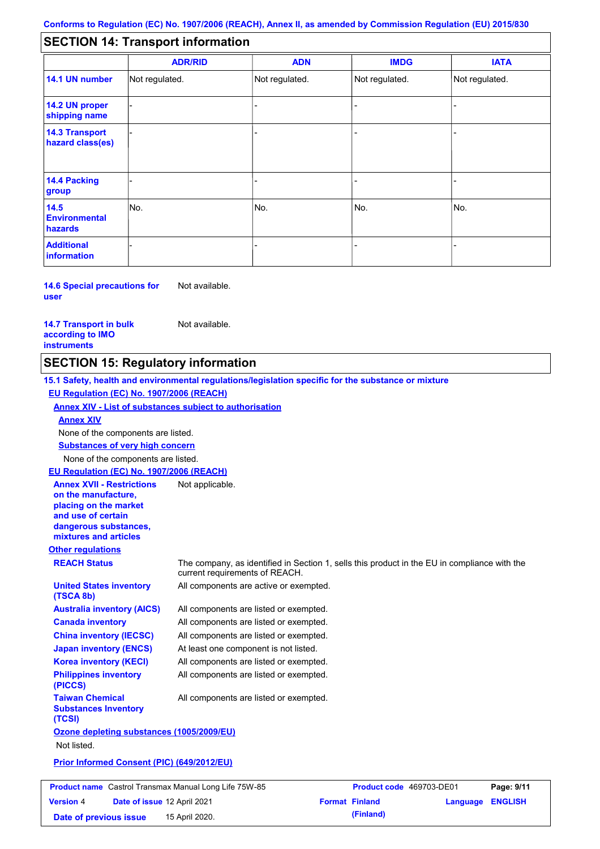#### - - - - - - - - - Not regulated. Not regulated. Not regulated. - - - **SECTION 14: Transport information ADR/RID IMDG IATA 14.1 UN number 14.2 UN proper shipping name 14.3 Transport hazard class(es) 14.4 Packing group ADN Additional information 14.5 Environmental hazards** No. 1988 | No. 1989 | No. 1989 | No. 1989 | No. 1989 | No. 1989 | No. 1989 | No. 1989 | No. 1989 | No. 1989 | Not regulated. - -<br>No. - -

**14.6 Special precautions for user** Not available.

#### **14.7 Transport in bulk according to IMO instruments**

Not available.

## **SECTION 15: Regulatory information**

**Other regulations REACH Status** The company, as identified in Section 1, sells this product in the EU in compliance with the current requirements of REACH. **15.1 Safety, health and environmental regulations/legislation specific for the substance or mixture EU Regulation (EC) No. 1907/2006 (REACH) Annex XIV - List of substances subject to authorisation Substances of very high concern** None of the components are listed. All components are listed or exempted. All components are listed or exempted. All components are listed or exempted. At least one component is not listed. All components are active or exempted. All components are listed or exempted. All components are listed or exempted. **United States inventory (TSCA 8b) Australia inventory (AICS) Canada inventory China inventory (IECSC) Japan inventory (ENCS) Korea inventory (KECI) Philippines inventory (PICCS) Taiwan Chemical Substances Inventory (TCSI)** All components are listed or exempted. **Ozone depleting substances (1005/2009/EU)** Not listed. **Prior Informed Consent (PIC) (649/2012/EU)** None of the components are listed. **Annex XIV EU Regulation (EC) No. 1907/2006 (REACH) Annex XVII - Restrictions on the manufacture, placing on the market and use of certain dangerous substances, mixtures and articles** Not applicable.

| <b>Product name</b> Castrol Transmax Manual Long Life 75W-85 |                                    |                | <b>Product code</b> 469703-DE01 | Page: 9/11            |                         |  |
|--------------------------------------------------------------|------------------------------------|----------------|---------------------------------|-----------------------|-------------------------|--|
| <b>Version 4</b>                                             | <b>Date of issue 12 April 2021</b> |                |                                 | <b>Format Finland</b> | <b>Language ENGLISH</b> |  |
| Date of previous issue                                       |                                    | 15 April 2020. |                                 | (Finland)             |                         |  |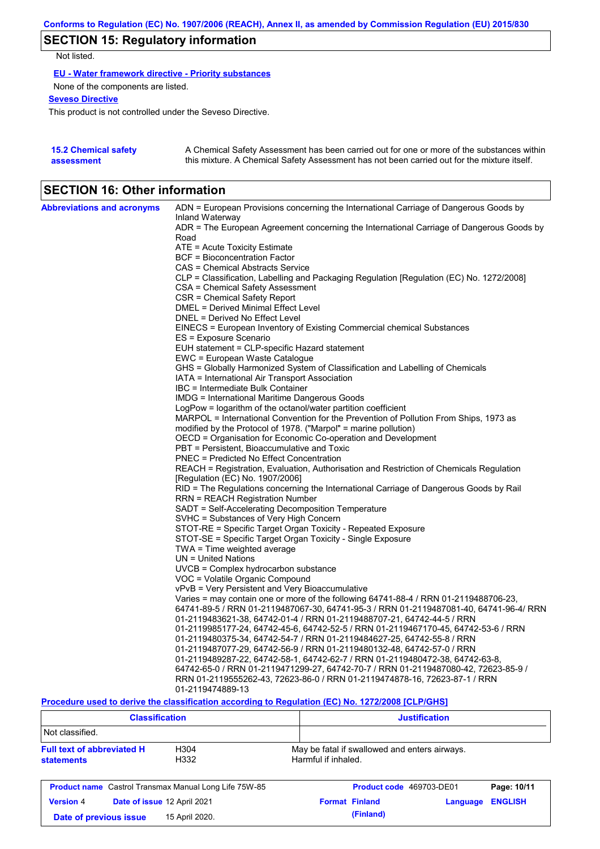# **SECTION 15: Regulatory information**

Not listed.

**EU - Water framework directive - Priority substances**

None of the components are listed.

**Seveso Directive**

This product is not controlled under the Seveso Directive.

| <b>15.2 Chemical safety</b> | A Chemical Safety Assessment has been carried out for one or more of the substances within  |
|-----------------------------|---------------------------------------------------------------------------------------------|
| assessment                  | this mixture. A Chemical Safety Assessment has not been carried out for the mixture itself. |

# **SECTION 16: Other information**

| <b>Abbreviations and acronyms</b> | ADN = European Provisions concerning the International Carriage of Dangerous Goods by    |
|-----------------------------------|------------------------------------------------------------------------------------------|
|                                   | Inland Waterway                                                                          |
|                                   | ADR = The European Agreement concerning the International Carriage of Dangerous Goods by |
|                                   | Road<br>ATE = Acute Toxicity Estimate                                                    |
|                                   | <b>BCF</b> = Bioconcentration Factor                                                     |
|                                   | CAS = Chemical Abstracts Service                                                         |
|                                   | CLP = Classification, Labelling and Packaging Regulation [Regulation (EC) No. 1272/2008] |
|                                   | CSA = Chemical Safety Assessment                                                         |
|                                   | CSR = Chemical Safety Report                                                             |
|                                   | DMEL = Derived Minimal Effect Level                                                      |
|                                   | DNEL = Derived No Effect Level                                                           |
|                                   | EINECS = European Inventory of Existing Commercial chemical Substances                   |
|                                   | ES = Exposure Scenario                                                                   |
|                                   | EUH statement = CLP-specific Hazard statement                                            |
|                                   | EWC = European Waste Catalogue                                                           |
|                                   | GHS = Globally Harmonized System of Classification and Labelling of Chemicals            |
|                                   | IATA = International Air Transport Association                                           |
|                                   | IBC = Intermediate Bulk Container                                                        |
|                                   | IMDG = International Maritime Dangerous Goods                                            |
|                                   | LogPow = logarithm of the octanol/water partition coefficient                            |
|                                   | MARPOL = International Convention for the Prevention of Pollution From Ships, 1973 as    |
|                                   | modified by the Protocol of 1978. ("Marpol" = marine pollution)                          |
|                                   | OECD = Organisation for Economic Co-operation and Development                            |
|                                   | PBT = Persistent, Bioaccumulative and Toxic                                              |
|                                   | PNEC = Predicted No Effect Concentration                                                 |
|                                   | REACH = Registration, Evaluation, Authorisation and Restriction of Chemicals Regulation  |
|                                   | [Regulation (EC) No. 1907/2006]                                                          |
|                                   | RID = The Regulations concerning the International Carriage of Dangerous Goods by Rail   |
|                                   | RRN = REACH Registration Number<br>SADT = Self-Accelerating Decomposition Temperature    |
|                                   | SVHC = Substances of Very High Concern                                                   |
|                                   | STOT-RE = Specific Target Organ Toxicity - Repeated Exposure                             |
|                                   | STOT-SE = Specific Target Organ Toxicity - Single Exposure                               |
|                                   | TWA = Time weighted average                                                              |
|                                   | $UN = United Nations$                                                                    |
|                                   | $UVCB = Complex\;hydrocarbon\; substance$                                                |
|                                   | VOC = Volatile Organic Compound                                                          |
|                                   | vPvB = Very Persistent and Very Bioaccumulative                                          |
|                                   | Varies = may contain one or more of the following 64741-88-4 / RRN 01-2119488706-23,     |
|                                   | 64741-89-5 / RRN 01-2119487067-30, 64741-95-3 / RRN 01-2119487081-40, 64741-96-4/ RRN    |
|                                   | 01-2119483621-38, 64742-01-4 / RRN 01-2119488707-21, 64742-44-5 / RRN                    |
|                                   | 01-2119985177-24, 64742-45-6, 64742-52-5 / RRN 01-2119467170-45, 64742-53-6 / RRN        |
|                                   | 01-2119480375-34, 64742-54-7 / RRN 01-2119484627-25, 64742-55-8 / RRN                    |
|                                   | 01-2119487077-29, 64742-56-9 / RRN 01-2119480132-48, 64742-57-0 / RRN                    |
|                                   | 01-2119489287-22, 64742-58-1, 64742-62-7 / RRN 01-2119480472-38, 64742-63-8,             |
|                                   | 64742-65-0 / RRN 01-2119471299-27, 64742-70-7 / RRN 01-2119487080-42, 72623-85-9 /       |
|                                   | RRN 01-2119555262-43, 72623-86-0 / RRN 01-2119474878-16, 72623-87-1 / RRN                |
|                                   | 01-2119474889-13                                                                         |

**Procedure used to derive the classification according to Regulation (EC) No. 1272/2008 [CLP/GHS]**

| <b>Classification</b>                                                              |                             | <b>Justification</b>                                                 |                          |          |                |
|------------------------------------------------------------------------------------|-----------------------------|----------------------------------------------------------------------|--------------------------|----------|----------------|
| Not classified.                                                                    |                             |                                                                      |                          |          |                |
| <b>Full text of abbreviated H</b><br>H <sub>304</sub><br>H332<br><b>statements</b> |                             | May be fatal if swallowed and enters airways.<br>Harmful if inhaled. |                          |          |                |
| <b>Product name</b> Castrol Transmax Manual Long Life 75W-85                       |                             |                                                                      | Product code 469703-DE01 |          | Page: 10/11    |
| <b>Version 4</b>                                                                   | Date of issue 12 April 2021 | <b>Format Finland</b>                                                |                          | Language | <b>ENGLISH</b> |
| 15 April 2020.<br>Date of previous issue                                           |                             |                                                                      | (Finland)                |          |                |